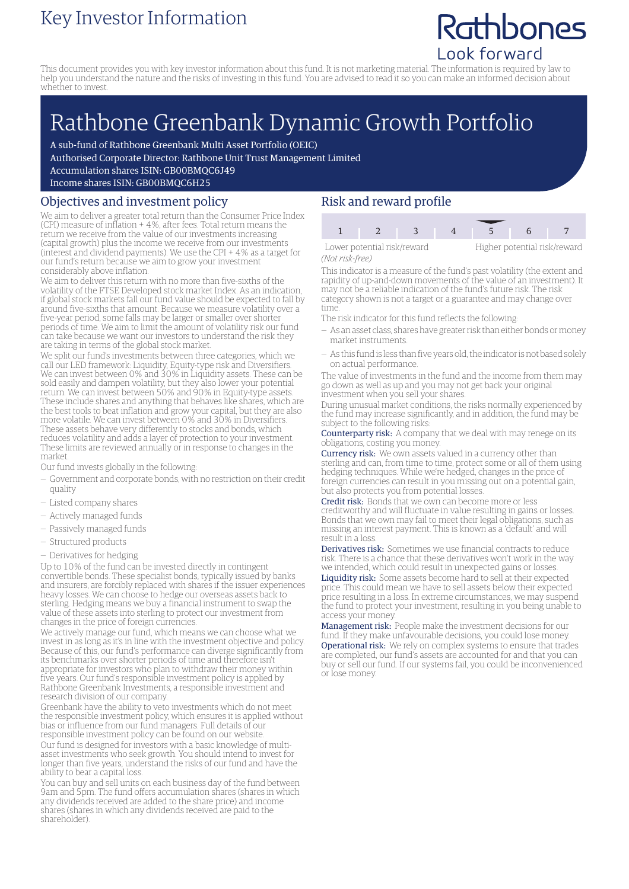### Key Investor Information

## Rathbones Look forward

This document provides you with key investor information about this fund. It is not marketing material. The information is required by law to help you understand the nature and the risks of investing in this fund. You are advised to read it so you can make an informed decision about whether to invest.

# Rathbone Greenbank Dynamic Growth Portfolio

A sub-fund of Rathbone Greenbank Multi Asset Portfolio (OEIC)

Authorised Corporate Director: Rathbone Unit Trust Management Limited

Accumulation shares ISIN: GB00BMQC6J49

Income shares ISIN: GB00BMQC6H25

#### Objectives and investment policy

We aim to deliver a greater total return than the Consumer Price Index (CPI) measure of inflation + 4%, after fees. Total return means the return we receive from the value of our investments increasing (capital growth) plus the income we receive from our investments (interest and dividend payments). We use the CPI + 4% as a target for our fund's return because we aim to grow your investment considerably above inflation.

We aim to deliver this return with no more than five-sixths of the volatility of the FTSE Developed stock market Index. As an indication, if global stock markets fall our fund value should be expected to fall by around five-sixths that amount. Because we measure volatility over a five-year period, some falls may be larger or smaller over shorter periods of time. We aim to limit the amount of volatility risk our fund can take because we want our investors to understand the risk they are taking in terms of the global stock market.

We split our fund's investments between three categories, which we call our LED framework: Liquidity, Equity-type risk and Diversifiers. We can invest between 0% and 30% in Liquidity assets. These can be sold easily and dampen volatility, but they also lower your potential return. We can invest between 50% and 90% in Equity-type assets. These include shares and anything that behaves like shares, which are the best tools to beat inflation and grow your capital, but they are also more volatile. We can invest between 0% and 30% in Diversifiers. These assets behave very differently to stocks and bonds, which reduces volatility and adds a layer of protection to your investment. These limits are reviewed annually or in response to changes in the market.

Our fund invests globally in the following:

- Government and corporate bonds, with no restriction on their credit quality
- Listed company shares
- Actively managed funds
- Passively managed funds
- Structured products
- Derivatives for hedging

Up to 10% of the fund can be invested directly in contingent convertible bonds. These specialist bonds, typically issued by banks and insurers, are forcibly replaced with shares if the issuer experiences heavy losses. We can choose to hedge our overseas assets back to sterling. Hedging means we buy a financial instrument to swap the value of these assets into sterling to protect our investment from changes in the price of foreign currencies.

We actively manage our fund, which means we can choose what we invest in as long as it's in line with the investment objective and policy. Because of this, our fund's performance can diverge significantly from its benchmarks over shorter periods of time and therefore isn't appropriate for investors who plan to withdraw their money within five years. Our fund's responsible investment policy is applied by Rathbone Greenbank Investments, a responsible investment and research division of our company.

Greenbank have the ability to veto investments which do not meet the responsible investment policy, which ensures it is applied without bias or influence from our fund managers. Full details of our responsible investment policy can be found on our website. Our fund is designed for investors with a basic knowledge of multiasset investments who seek growth. You should intend to invest for longer than five years, understand the risks of our fund and have the ability to bear a capital loss.

You can buy and sell units on each business day of the fund between 9am and 5pm. The fund offers accumulation shares (shares in which any dividends received are added to the share price) and income shares (shares in which any dividends received are paid to the shareholder).

#### Risk and reward profile

1 2 3 4 5 6

*(Not risk-free)*

Lower potential risk/reward Higher potential risk/reward

This indicator is a measure of the fund's past volatility (the extent and rapidity of up-and-down movements of the value of an investment). It may not be a reliable indication of the fund's future risk. The risk category shown is not a target or a guarantee and may change over time.

The risk indicator for this fund reflects the following:

- As an asset class, shares have greater risk than either bonds ormoney market instruments.
- As this fund is less than five years old, the indicator is not based solely on actual performance.

The value of investments in the fund and the income from them may go down as well as up and you may not get back your original investment when you sell your shares.

During unusual market conditions, the risks normally experienced by the fund may increase significantly, and in addition, the fund may be subject to the following risks:

Counterparty risk: A company that we deal with may renege on its obligations, costing you money.

Currency risk: We own assets valued in a currency other than sterling and can, from time to time, protect some or all of them using hedging techniques. While we're hedged, changes in the price of foreign currencies can result in you missing out on a potential gain, but also protects you from potential losses.

Credit risk: Bonds that we own can become more or less creditworthy and will fluctuate in value resulting in gains or losses. Bonds that we own may fail to meet their legal obligations, such as missing an interest payment. This is known as a 'default' and will result in a loss.

Derivatives risk: Sometimes we use financial contracts to reduce risk. There is a chance that these derivatives won't work in the way we intended, which could result in unexpected gains or losses.

Liquidity risk: Some assets become hard to sell at their expected price. This could mean we have to sell assets below their expected price resulting in a loss. In extreme circumstances, we may suspend the fund to protect your investment, resulting in you being unable to access your money.

Management risk: People make the investment decisions for our fund. If they make unfavourable decisions, you could lose money. Operational risk: We rely on complex systems to ensure that trades are completed, our fund's assets are accounted for and that you can buy or sell our fund. If our systems fail, you could be inconvenienced or lose money.